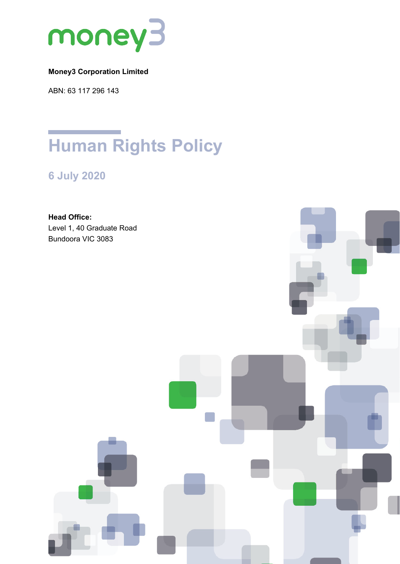

# **Money3 Corporation Limited**

ABN: 63 117 296 143

# **Human Rights Policy**

**6 July 2020**

**Head Office:** Level 1, 40 Graduate Road Bundoora VIC 3083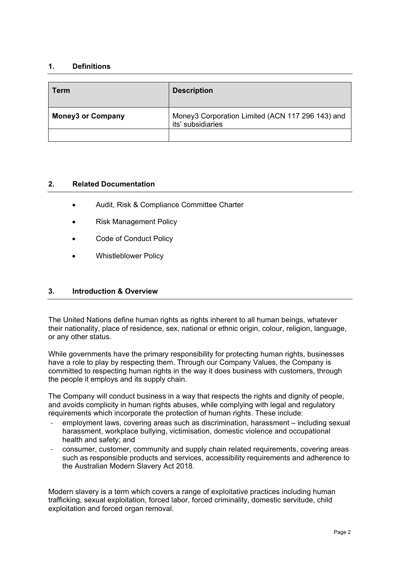### **1. Definitions**

| Term                     | <b>Description</b>                                                    |
|--------------------------|-----------------------------------------------------------------------|
| <b>Money3 or Company</b> | Money3 Corporation Limited (ACN 117 296 143) and<br>its' subsidiaries |
|                          |                                                                       |

#### **2. Related Documentation**

- Audit, Risk & Compliance Committee Charter
- Risk Management Policy
- Code of Conduct Policy
- Whistleblower Policy

## **3. Introduction & Overview**

The United Nations define human rights as rights inherent to all human beings, whatever their nationality, place of residence, sex, national or ethnic origin, colour, religion, language, or any other status.

While governments have the primary responsibility for protecting human rights, businesses have a role to play by respecting them. Through our Company Values, the Company is committed to respecting human rights in the way it does business with customers, through the people it employs and its supply chain.

The Company will conduct business in a way that respects the rights and dignity of people, and avoids complicity in human rights abuses, while complying with legal and regulatory requirements which incorporate the protection of human rights. These include:

- employment laws, covering areas such as discrimination, harassment including sexual harassment, workplace bullying, victimisation, domestic violence and occupational health and safety; and
- consumer, customer, community and supply chain related requirements, covering areas such as responsible products and services, accessibility requirements and adherence to the Australian Modern Slavery Act 2018.

Modern slavery is a term which covers a range of exploitative practices including human trafficking, sexual exploitation, forced labor, forced criminality, domestic servitude, child exploitation and forced organ removal.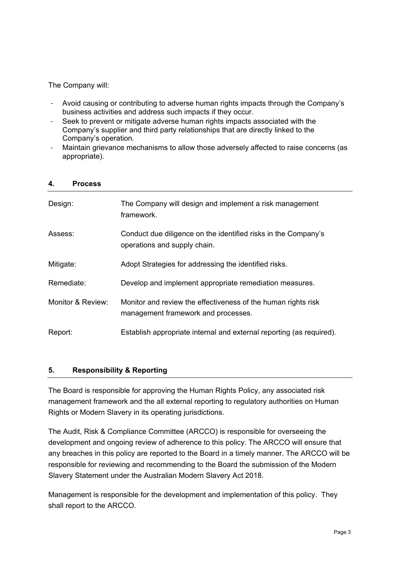### The Company will:

- Avoid causing or contributing to adverse human rights impacts through the Company's business activities and address such impacts if they occur.
- Seek to prevent or mitigate adverse human rights impacts associated with the Company's supplier and third party relationships that are directly linked to the Company's operation.
- Maintain grievance mechanisms to allow those adversely affected to raise concerns (as appropriate).

| 4. | <b>Process</b> |
|----|----------------|
|    |                |

| Design:           | The Company will design and implement a risk management<br>framework.                                |
|-------------------|------------------------------------------------------------------------------------------------------|
| Assess:           | Conduct due diligence on the identified risks in the Company's<br>operations and supply chain.       |
| Mitigate:         | Adopt Strategies for addressing the identified risks.                                                |
| Remediate:        | Develop and implement appropriate remediation measures.                                              |
| Monitor & Review: | Monitor and review the effectiveness of the human rights risk<br>management framework and processes. |
| Report:           | Establish appropriate internal and external reporting (as required).                                 |

#### **5. Responsibility & Reporting**

The Board is responsible for approving the Human Rights Policy, any associated risk management framework and the all external reporting to regulatory authorities on Human Rights or Modern Slavery in its operating jurisdictions.

The Audit, Risk & Compliance Committee (ARCCO) is responsible for overseeing the development and ongoing review of adherence to this policy. The ARCCO will ensure that any breaches in this policy are reported to the Board in a timely manner. The ARCCO will be responsible for reviewing and recommending to the Board the submission of the Modern Slavery Statement under the Australian Modern Slavery Act 2018.

Management is responsible for the development and implementation of this policy. They shall report to the ARCCO.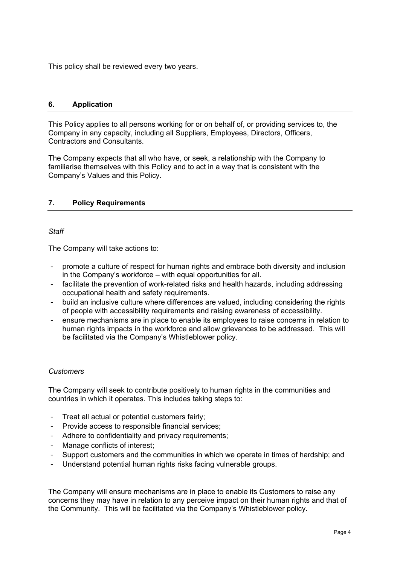This policy shall be reviewed every two years.

#### **6. Application**

This Policy applies to all persons working for or on behalf of, or providing services to, the Company in any capacity, including all Suppliers, Employees, Directors, Officers, Contractors and Consultants.

The Company expects that all who have, or seek, a relationship with the Company to familiarise themselves with this Policy and to act in a way that is consistent with the Company's Values and this Policy.

#### **7. Policy Requirements**

#### *Staff*

The Company will take actions to:

- promote a culture of respect for human rights and embrace both diversity and inclusion in the Company's workforce – with equal opportunities for all.
- facilitate the prevention of work-related risks and health hazards, including addressing occupational health and safety requirements.
- build an inclusive culture where differences are valued, including considering the rights of people with accessibility requirements and raising awareness of accessibility.
- ensure mechanisms are in place to enable its employees to raise concerns in relation to human rights impacts in the workforce and allow grievances to be addressed. This will be facilitated via the Company's Whistleblower policy.

#### *Customers*

The Company will seek to contribute positively to human rights in the communities and countries in which it operates. This includes taking steps to:

- Treat all actual or potential customers fairly;
- Provide access to responsible financial services;
- Adhere to confidentiality and privacy requirements;
- Manage conflicts of interest;
- Support customers and the communities in which we operate in times of hardship; and
- Understand potential human rights risks facing vulnerable groups.

The Company will ensure mechanisms are in place to enable its Customers to raise any concerns they may have in relation to any perceive impact on their human rights and that of the Community. This will be facilitated via the Company's Whistleblower policy.